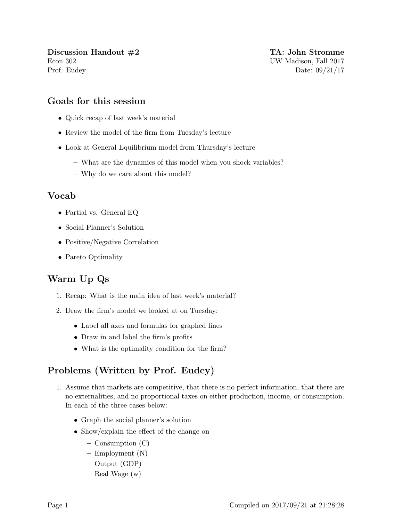Discussion Handout  $\#2$  TA: John Stromme Econ 302 UW Madison, Fall 2017 Prof. Eudey Date: 09/21/17

## Goals for this session

- Quick recap of last week's material
- Review the model of the firm from Tuesday's lecture
- Look at General Equilibrium model from Thursday's lecture
	- What are the dynamics of this model when you shock variables?
	- Why do we care about this model?

## Vocab

- Partial vs. General EQ
- Social Planner's Solution
- Positive/Negative Correlation
- Pareto Optimality

## Warm Up Qs

- 1. Recap: What is the main idea of last week's material?
- 2. Draw the firm's model we looked at on Tuesday:
	- Label all axes and formulas for graphed lines
	- Draw in and label the firm's profits
	- What is the optimality condition for the firm?

## Problems (Written by Prof. Eudey)

- 1. Assume that markets are competitive, that there is no perfect information, that there are no externalities, and no proportional taxes on either production, income, or consumption. In each of the three cases below:
	- Graph the social planner's solution
	- Show/explain the effect of the change on
		- Consumption (C)
		- Employment (N)
		- Output (GDP)
		- Real Wage (w)